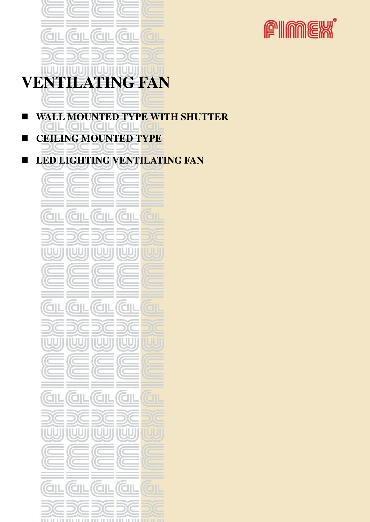

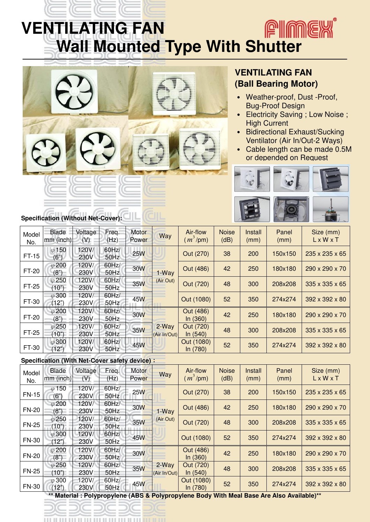## **PIMEX VENTILATING FAN Wall Mounted Type With Shutter**



### **VENTILATING FAN (Ball Bearing Motor)**

- ․ Weather-proof, Dust -Proof, Bug-Proof Design
- Electricity Saving ; Low Noise ; High Current
- ․ Bidirectional Exhaust/Sucking Ventilator (Air In/Out-2 Ways)
- Cable length can be made 0.5M or depended on Request



## **Specification (Without Net-Cover):**

| Model<br>No. | Blade<br>$mm$ (inch)   | Voltage<br>(V) | Freq.<br>(Hz)    | Motor<br>Power | Way                   | Air-flow<br>$(m^3$ /pm) | <b>Noise</b><br>(dB) | Install<br>(mm) | Panel<br>(mm) | Size (mm)<br>LxWxT         |
|--------------|------------------------|----------------|------------------|----------------|-----------------------|-------------------------|----------------------|-----------------|---------------|----------------------------|
| $FT-15$      | $\varphi$ 150<br>(6")  | 120V/<br>230V  | 60Hz/<br>50Hz    | <b>25W</b>     | 1-Way<br>(Air Out)    | Out (270)               | 38                   | 200             | 150x150       | $235 \times 235 \times 65$ |
| FT-20        | $\varphi$ 200<br>(8")  | 120V/<br>230V  | 60Hz/<br>$50$ Hz | 30W            |                       | Out (486)               | 42                   | 250             | 180x180       | 290 x 290 x 70             |
| FT-25        | $\varphi$ 250<br>(10") | 120V/<br>230V  | 60Hz/<br>50Hz    | 35W            |                       | Out (720)               | 48                   | 300             | 208x208       | $335 \times 335 \times 65$ |
| FT-30        | $\varphi$ 300<br>(12") | 120V/<br>230V  | 60Hz/<br>50Hz    | 45W            |                       | Out (1080)              | 52                   | 350             | 274x274       | $392 \times 392 \times 80$ |
| FT-20        | $\varphi$ 200<br>(8")  | 120V/<br>230V  | $60$ Hz/<br>50Hz | 30W            | 2-Way<br>(Air In/Out) | Out (486)<br>In (360)   | 42                   | 250             | 180x180       | 290 x 290 x 70             |
| FT-25        | $\varphi$ 250<br>(10") | 120V/<br>230V  | 60Hz/<br>50Hz    | <b>35W</b>     |                       | Out (720)<br>ln(540)    | 48                   | 300             | 208x208       | $335 \times 335 \times 65$ |
| FT-30        | $\varphi$ 300<br>(12") | 120V/<br>230V  | 60Hz/<br>50Hz    | 45W            |                       | Out (1080)<br>In (780)  | 52                   | 350             | 274x274       | $392 \times 392 \times 80$ |

#### **Specification (With Net-Cover safety device)**:

| Model<br>No. | <b>Blade</b><br>$mm$ (inch) | Voltage<br>(V) | Freq.<br>(Hz)       | Motor<br>Power | Way                   | Air-flow<br>$(m^3$ /pm) | <b>Noise</b><br>(dB) | Install<br>(mm) | Panel<br>(mm) | Size (mm)<br>LxWxT         |
|--------------|-----------------------------|----------------|---------------------|----------------|-----------------------|-------------------------|----------------------|-----------------|---------------|----------------------------|
| <b>FN-15</b> | $\varphi$ 150<br>(6")       | 120V/<br>230V  | 60Hz/<br>50Hz       | <b>25W</b>     |                       | Out (270)               | 38                   | 200             | 150x150       | $235 \times 235 \times 65$ |
| <b>FN-20</b> | $\varphi$ 200<br>(8")       | 120V/<br>230V  | $60$ Hz $/$<br>50Hz | 30W            | 1-Way<br>(Air Out)    | Out (486)               | 42                   | 250             | 180x180       | 290 x 290 x 70             |
| <b>FN-25</b> | $\varphi$ 250<br>(10")      | 120V/<br>230V  | 60Hz/<br>50Hz       | 35W            |                       | Out (720)               | 48                   | 300             | 208x208       | $335 \times 335 \times 65$ |
| <b>FN-30</b> | $\varphi$ 300<br>(12")      | 120V/<br>230V  | 60Hz/<br>50Hz       | 45W            |                       | Out (1080)              | 52                   | 350             | 274x274       | 392 x 392 x 80             |
| <b>FN-20</b> | $\varphi$ 200<br>(8")       | 120V/<br>230V  | 60Hz/<br>50Hz       | 30W            |                       | Out (486)<br>ln(360)    | 42                   | 250             | 180x180       | 290 x 290 x 70             |
| <b>FN-25</b> | $\varphi$ 250<br>(10")      | 120V/<br>230V  | 60Hz/<br>50Hz       | 35W            | 2-Way<br>(Air In/Out) | Out (720)<br>ln(540)    | 48                   | 300             | 208x208       | $335 \times 335 \times 65$ |
| <b>FN-30</b> | $\varphi$ 300<br>(12")      | 120V/<br>230V  | 60Hz/<br>50Hz       | 45W            |                       | Out (1080)<br>In (780)  | 52                   | 350             | 274x274       | 392 x 392 x 80             |

**\*\* Material : Polypropylene (ABS & Polypropylene Body With Meal Base Are Also Available)\*\***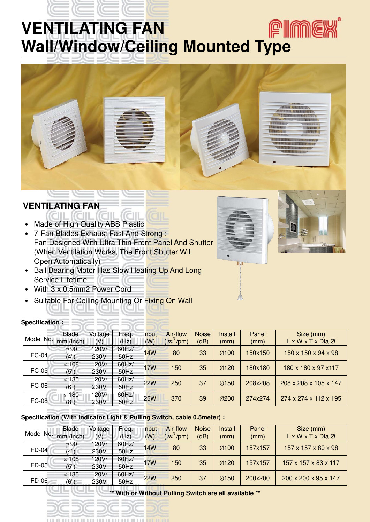## **PIMEX VENTILATING FAN Wall/Window/Ceiling Mounted Type**



- Made of High Quality ABS Plastic
- 7-Fan Blades Exhaust Fast And Strong; Fan Designed With Ultra Thin Front Panel And Shutter (When Ventilation Works, The Front Shutter Will Open Automatically)

 $(CIII)$ 

- Ball Bearing Motor Has Slow Heating Up And Long Service Lifetime
- ․ With 3 x 0.5mm2 Power Cord
- Suitable For Ceiling Mounting Or Fixing On Wall

| Specification: |  |
|----------------|--|
|----------------|--|

| Model No.    | <b>Blade</b>                  | Voltage | Freq.    | Input      | Air-flow   | <b>Noise</b> | Install | Panel   | Size (mm)                            |
|--------------|-------------------------------|---------|----------|------------|------------|--------------|---------|---------|--------------------------------------|
|              | $\mathsf{m}\mathsf{m}$ (inch) | (V)     | (Hz)     | (W)        | $m^3$ /pm) | (dB)         | (mm)    | (mm)    | $L \times W \times T \times Dia.Ø$   |
|              | $\varphi$ 90                  | 20V/    | 60Hz/    | 14W        | 80         | 33           | Ø100    | 150x150 | $150 \times 150 \times 94 \times 98$ |
| <b>FC-04</b> | (4")                          | 230V    | 50Hz     |            |            |              |         |         |                                      |
|              | $\varphi$ 108                 | 120V/   | 60Hz/    | <b>17W</b> |            | 35           |         |         |                                      |
| <b>FC-05</b> | (5")                          | 230V    | 50Hz     |            | 150        |              | Ø120    | 180x180 | 180 x 180 x 97 x 117                 |
|              | $\varphi$ 135                 | 120V/   | 60Hz/    | <b>22W</b> | 250        | 37           | Ø150    | 208x208 | 208 x 208 x 105 x 147                |
| <b>FC-06</b> | (6")                          | 230V    | 50Hz     |            |            |              |         |         |                                      |
|              | $\varphi$ 180                 | 20V/    | $60$ Hz/ |            |            |              |         | 274x274 | 274 x 274 x 112 x 195                |
| <b>FC-08</b> | (8"                           | 230V    | 50Hz     | <b>25W</b> | 370        | 39           | Ø200    |         |                                      |

#### **Specification (With Indicator Light & Pulling Switch, cable 0.5meter)**:

|                     | <b>Blade</b>  | Voltage | Freq.       | Input      | Air-flow    | <b>Noise</b> | Install | Panel   | Size (mm)                            |
|---------------------|---------------|---------|-------------|------------|-------------|--------------|---------|---------|--------------------------------------|
| Model No. mm (inch) |               | (V)     | (Hz)        | (W)        | $(m^3$ /pm) | (dB)         | (mm)    | (mm)    | $L \times W \times T \times DiaQ$    |
|                     | $\varphi$ 90  | 120V/   | $60$ Hz $/$ | <b>14W</b> | 80          | 33           | Ø100    | 157x157 | $157 \times 157 \times 80 \times 98$ |
| FD-04               | (4")          | 230V    | 50Hz        |            |             |              |         |         |                                      |
|                     | $\varphi$ 108 | 120V/   | 60Hz/       | <b>17W</b> | 150         | 35           | Ø120    | 157x157 | 157 x 157 x 83 x 117                 |
| <b>FD-05</b>        | (5")          | 230V    | 50Hz        |            |             |              |         |         |                                      |
|                     | $\varphi$ 135 | 20V/    | 60Hz/       | <b>22W</b> | 250         | 37           | Ø150    | 200x200 | 200 x 200 x 95 x 147                 |
| <b>FD-06</b>        | (6")          | 230V    | 50Hz        |            |             |              |         |         |                                      |

**\*\* With or Without Pulling Switch are all available \*\***